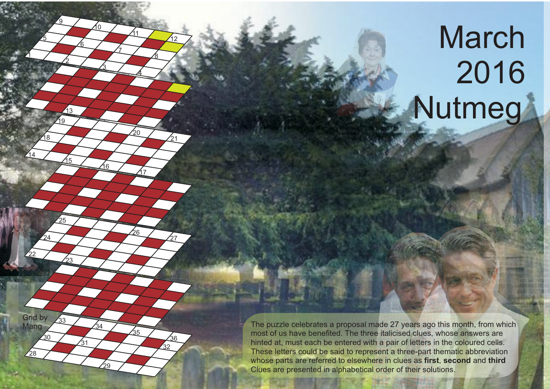## March Nutmeg



 $\sqrt{13}$ 

<u>15</u>

<u>17</u>

วัด

<u>8</u>

Mang 233 34 34 34 The puzzle celebrates a proposal made 27 years ago this month, from which most of us have benefited. The three italicised clues, whose answers are hinted at, must each be entered with a pair of letters in the coloured cells. These letters could be said to represent a three-part thematic abbreviation whose parts are referred to elsewhere in clues as **first**, **second** and **third** Clues are presented in alphabetical order of their solutions.